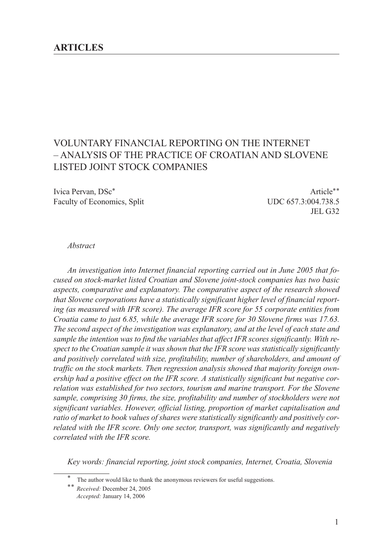# VOLUNTARY FINANCIAL REPORTING ON THE INTERNET – ANALYSIS OF THE PRACTICE OF CROATIAN AND SLOVENE LISTED JOINT STOCK COMPANIES

Ivica Pervan, DSc<sup>\*</sup> Article<sup>\*\*</sup> Faculty of Economics, Split UDC 657.3:004.738.5

JEL G32

#### *Abstract*

*An investigation into Internet financial reporting carried out in June 2005 that focused on stock-market listed Croatian and Slovene joint-stock companies has two basic aspects, comparative and explanatory. The comparative aspect of the research showed that Slovene corporations have a statistically significant higher level of financial reporting (as measured with IFR score). The average IFR score for 55 corporate entities from Croatia came to just 6.85, while the average IFR score for 30 Slovene firms was 17.63. The second aspect of the investigation was explanatory, and at the level of each state and sample the intention was to find the variables that affect IFR scores significantly. With respect to the Croatian sample it was shown that the IFR score was statistically significantly and positively correlated with size, profitability, number of shareholders, and amount of traffic on the stock markets. Then regression analysis showed that majority foreign ownership had a positive effect on the IFR score. A statistically significant but negative correlation was established for two sectors, tourism and marine transport. For the Slovene sample, comprising 30 firms, the size, profitability and number of stockholders were not significant variables. However, official listing, proportion of market capitalisation and ratio of market to book values of shares were statistically significantly and positively correlated with the IFR score. Only one sector, transport, was significantly and negatively correlated with the IFR score.*

*Key words: financial reporting, joint stock companies, Internet, Croatia, Slovenia*

The author would like to thank the anonymous reviewers for useful suggestions.

<sup>\*\*</sup> *Received:* December 24, 2005 *Accepted:* January 14, 2006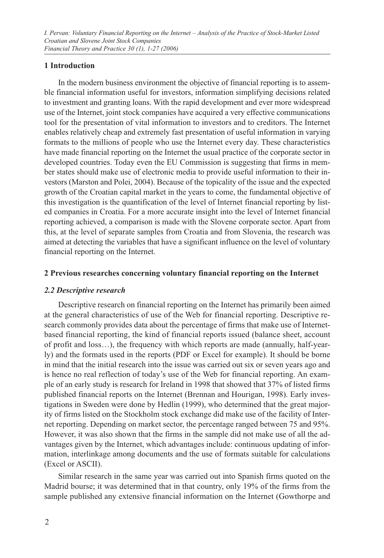# **1 Introduction**

In the modern business environment the objective of financial reporting is to assemble financial information useful for investors, information simplifying decisions related to investment and granting loans. With the rapid development and ever more widespread use of the Internet, joint stock companies have acquired a very effective communications tool for the presentation of vital information to investors and to creditors. The Internet enables relatively cheap and extremely fast presentation of useful information in varying formats to the millions of people who use the Internet every day. These characteristics have made financial reporting on the Internet the usual practice of the corporate sector in developed countries. Today even the EU Commission is suggesting that firms in member states should make use of electronic media to provide useful information to their investors (Marston and Polei, 2004). Because of the topicality of the issue and the expected growth of the Croatian capital market in the years to come, the fundamental objective of this investigation is the quantification of the level of Internet financial reporting by listed companies in Croatia. For a more accurate insight into the level of Internet financial reporting achieved, a comparison is made with the Slovene corporate sector. Apart from this, at the level of separate samples from Croatia and from Slovenia, the research was aimed at detecting the variables that have a significant influence on the level of voluntary financial reporting on the Internet.

# **2 Previous researches concerning voluntary financial reporting on the Internet**

# *2.2 Descriptive research*

Descriptive research on financial reporting on the Internet has primarily been aimed at the general characteristics of use of the Web for financial reporting. Descriptive research commonly provides data about the percentage of firms that make use of Internetbased financial reporting, the kind of financial reports issued (balance sheet, account of profit and loss…), the frequency with which reports are made (annually, half-yearly) and the formats used in the reports (PDF or Excel for example). It should be borne in mind that the initial research into the issue was carried out six or seven years ago and is hence no real reflection of today's use of the Web for financial reporting. An example of an early study is research for Ireland in 1998 that showed that 37% of listed firms published financial reports on the Internet (Brennan and Hourigan, 1998). Early investigations in Sweden were done by Hedlin (1999), who determined that the great majority of firms listed on the Stockholm stock exchange did make use of the facility of Internet reporting. Depending on market sector, the percentage ranged between 75 and 95%. However, it was also shown that the firms in the sample did not make use of all the advantages given by the Internet, which advantages include: continuous updating of information, interlinkage among documents and the use of formats suitable for calculations (Excel or ASCII).

Similar research in the same year was carried out into Spanish firms quoted on the Madrid bourse; it was determined that in that country, only 19% of the firms from the sample published any extensive financial information on the Internet (Gowthorpe and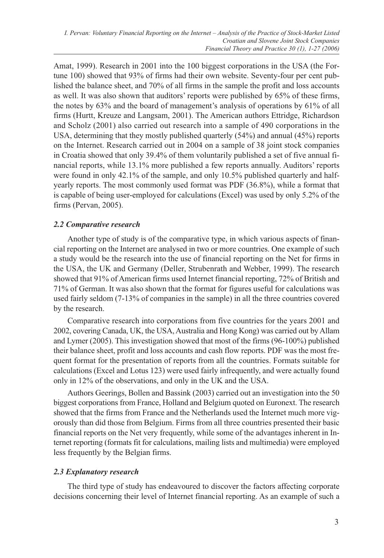Amat, 1999). Research in 2001 into the 100 biggest corporations in the USA (the Fortune 100) showed that 93% of firms had their own website. Seventy-four per cent published the balance sheet, and 70% of all firms in the sample the profit and loss accounts as well. It was also shown that auditors' reports were published by 65% of these firms, the notes by 63% and the board of management's analysis of operations by 61% of all firms (Hurtt, Kreuze and Langsam, 2001). The American authors Ettridge, Richardson and Scholz (2001) also carried out research into a sample of 490 corporations in the USA, determining that they mostly published quarterly (54%) and annual (45%) reports on the Internet. Research carried out in 2004 on a sample of 38 joint stock companies in Croatia showed that only 39.4% of them voluntarily published a set of five annual financial reports, while 13.1% more published a few reports annually. Auditors' reports were found in only 42.1% of the sample, and only 10.5% published quarterly and halfyearly reports. The most commonly used format was PDF (36.8%), while a format that is capable of being user-employed for calculations (Excel) was used by only 5.2% of the firms (Pervan, 2005).

# *2.2 Comparative research*

Another type of study is of the comparative type, in which various aspects of financial reporting on the Internet are analysed in two or more countries. One example of such a study would be the research into the use of financial reporting on the Net for firms in the USA, the UK and Germany (Deller, Strubenrath and Webber, 1999). The research showed that 91% of American firms used Internet financial reporting, 72% of British and 71% of German. It was also shown that the format for figures useful for calculations was used fairly seldom (7-13% of companies in the sample) in all the three countries covered by the research.

Comparative research into corporations from five countries for the years 2001 and 2002, covering Canada, UK, the USA, Australia and Hong Kong) was carried out by Allam and Lymer (2005). This investigation showed that most of the firms (96-100%) published their balance sheet, profit and loss accounts and cash flow reports. PDF was the most frequent format for the presentation of reports from all the countries. Formats suitable for calculations (Excel and Lotus 123) were used fairly infrequently, and were actually found only in 12% of the observations, and only in the UK and the USA.

Authors Geerings, Bollen and Bassink (2003) carried out an investigation into the 50 biggest corporations from France, Holland and Belgium quoted on Euronext. The research showed that the firms from France and the Netherlands used the Internet much more vigorously than did those from Belgium. Firms from all three countries presented their basic financial reports on the Net very frequently, while some of the advantages inherent in Internet reporting (formats fit for calculations, mailing lists and multimedia) were employed less frequently by the Belgian firms.

# *2.3 Explanatory research*

The third type of study has endeavoured to discover the factors affecting corporate decisions concerning their level of Internet financial reporting. As an example of such a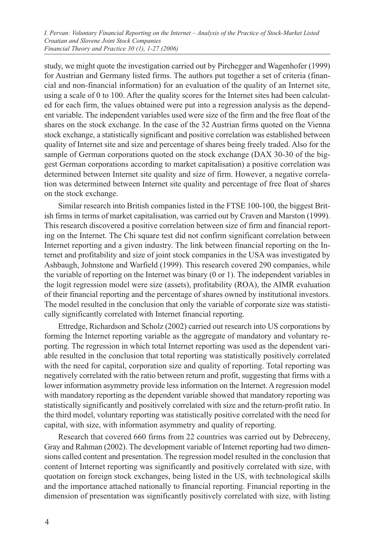study, we might quote the investigation carried out by Pirchegger and Wagenhofer (1999) for Austrian and Germany listed firms. The authors put together a set of criteria (financial and non-financial information) for an evaluation of the quality of an Internet site, using a scale of 0 to 100. After the quality scores for the Internet sites had been calculated for each firm, the values obtained were put into a regression analysis as the dependent variable. The independent variables used were size of the firm and the free float of the shares on the stock exchange. In the case of the 32 Austrian firms quoted on the Vienna stock exchange, a statistically significant and positive correlation was established between quality of Internet site and size and percentage of shares being freely traded. Also for the sample of German corporations quoted on the stock exchange (DAX 30-30 of the biggest German corporations according to market capitalisation) a positive correlation was determined between Internet site quality and size of firm. However, a negative correlation was determined between Internet site quality and percentage of free float of shares on the stock exchange.

Similar research into British companies listed in the FTSE 100-100, the biggest British firms in terms of market capitalisation, was carried out by Craven and Marston (1999). This research discovered a positive correlation between size of firm and financial reporting on the Internet. The Chi square test did not confirm significant correlation between Internet reporting and a given industry. The link between financial reporting on the Internet and profitability and size of joint stock companies in the USA was investigated by Ashbaugh, Johnstone and Warfield (1999). This research covered 290 companies, while the variable of reporting on the Internet was binary (0 or 1). The independent variables in the logit regression model were size (assets), profitability (ROA), the AIMR evaluation of their financial reporting and the percentage of shares owned by institutional investors. The model resulted in the conclusion that only the variable of corporate size was statistically significantly correlated with Internet financial reporting.

Ettredge, Richardson and Scholz (2002) carried out research into US corporations by forming the Internet reporting variable as the aggregate of mandatory and voluntary reporting. The regression in which total Internet reporting was used as the dependent variable resulted in the conclusion that total reporting was statistically positively correlated with the need for capital, corporation size and quality of reporting. Total reporting was negatively correlated with the ratio between return and profit, suggesting that firms with a lower information asymmetry provide less information on the Internet. A regression model with mandatory reporting as the dependent variable showed that mandatory reporting was statistically significantly and positively correlated with size and the return-profit ratio. In the third model, voluntary reporting was statistically positive correlated with the need for capital, with size, with information asymmetry and quality of reporting.

Research that covered 660 firms from 22 countries was carried out by Debreceny, Gray and Rahman (2002). The development variable of Internet reporting had two dimensions called content and presentation. The regression model resulted in the conclusion that content of Internet reporting was significantly and positively correlated with size, with quotation on foreign stock exchanges, being listed in the US, with technological skills and the importance attached nationally to financial reporting. Financial reporting in the dimension of presentation was significantly positively correlated with size, with listing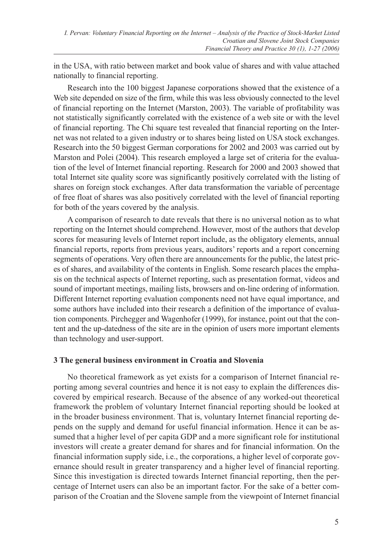in the USA, with ratio between market and book value of shares and with value attached nationally to financial reporting.

Research into the 100 biggest Japanese corporations showed that the existence of a Web site depended on size of the firm, while this was less obviously connected to the level of financial reporting on the Internet (Marston, 2003). The variable of profitability was not statistically significantly correlated with the existence of a web site or with the level of financial reporting. The Chi square test revealed that financial reporting on the Internet was not related to a given industry or to shares being listed on USA stock exchanges. Research into the 50 biggest German corporations for 2002 and 2003 was carried out by Marston and Polei (2004). This research employed a large set of criteria for the evaluation of the level of Internet financial reporting. Research for 2000 and 2003 showed that total Internet site quality score was significantly positively correlated with the listing of shares on foreign stock exchanges. After data transformation the variable of percentage of free float of shares was also positively correlated with the level of financial reporting for both of the years covered by the analysis.

A comparison of research to date reveals that there is no universal notion as to what reporting on the Internet should comprehend. However, most of the authors that develop scores for measuring levels of Internet report include, as the obligatory elements, annual financial reports, reports from previous years, auditors' reports and a report concerning segments of operations. Very often there are announcements for the public, the latest prices of shares, and availability of the contents in English. Some research places the emphasis on the technical aspects of Internet reporting, such as presentation format, videos and sound of important meetings, mailing lists, browsers and on-line ordering of information. Different Internet reporting evaluation components need not have equal importance, and some authors have included into their research a definition of the importance of evaluation components. Pirchegger and Wagenhofer (1999), for instance, point out that the content and the up-datedness of the site are in the opinion of users more important elements than technology and user-support.

# **3 The general business environment in Croatia and Slovenia**

No theoretical framework as yet exists for a comparison of Internet financial reporting among several countries and hence it is not easy to explain the differences discovered by empirical research. Because of the absence of any worked-out theoretical framework the problem of voluntary Internet financial reporting should be looked at in the broader business environment. That is, voluntary Internet financial reporting depends on the supply and demand for useful financial information. Hence it can be assumed that a higher level of per capita GDP and a more significant role for institutional investors will create a greater demand for shares and for financial information. On the financial information supply side, i.e., the corporations, a higher level of corporate governance should result in greater transparency and a higher level of financial reporting. Since this investigation is directed towards Internet financial reporting, then the percentage of Internet users can also be an important factor. For the sake of a better comparison of the Croatian and the Slovene sample from the viewpoint of Internet financial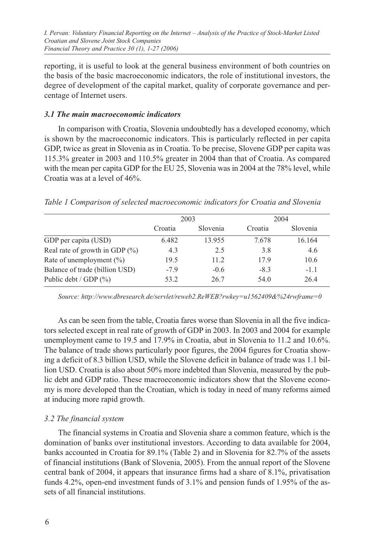reporting, it is useful to look at the general business environment of both countries on the basis of the basic macroeconomic indicators, the role of institutional investors, the degree of development of the capital market, quality of corporate governance and percentage of Internet users.

#### *3.1 The main macroeconomic indicators*

In comparison with Croatia, Slovenia undoubtedly has a developed economy, which is shown by the macroeconomic indicators. This is particularly reflected in per capita GDP, twice as great in Slovenia as in Croatia. To be precise, Slovene GDP per capita was 115.3% greater in 2003 and 110.5% greater in 2004 than that of Croatia. As compared with the mean per capita GDP for the EU 25, Slovenia was in 2004 at the 78% level, while Croatia was at a level of 46%.

|                                    |         | 2003     |         | 2004     |
|------------------------------------|---------|----------|---------|----------|
|                                    | Croatia | Slovenia | Croatia | Slovenia |
| GDP per capita (USD)               | 6.482   | 13.955   | 7.678   | 16.164   |
| Real rate of growth in GDP $(\% )$ | 4.3     | 2.5      | 3.8     | 4.6      |
| Rate of unemployment $(\% )$       | 19.5    | 11.2     | 17.9    | 10.6     |
| Balance of trade (billion USD)     | $-7.9$  | $-0.6$   | $-8.3$  | $-1.1$   |
| Public debt / $GDP$ $(\%)$         | 53.2    | 26.7     | 54.0    | 26.4     |
|                                    |         |          |         |          |

*Table 1 Comparison of selected macroeconomic indicators for Croatia and Slovenia*

*Source: http://www.dbresearch.de/servlet/reweb2.ReWEB?rwkey=u1562409&%24rwframe=0* 

As can be seen from the table, Croatia fares worse than Slovenia in all the five indicators selected except in real rate of growth of GDP in 2003. In 2003 and 2004 for example unemployment came to 19.5 and 17.9% in Croatia, abut in Slovenia to 11.2 and 10.6%. The balance of trade shows particularly poor figures, the 2004 figures for Croatia showing a deficit of 8.3 billion USD, while the Slovene deficit in balance of trade was 1.1 billion USD. Croatia is also about 50% more indebted than Slovenia, measured by the public debt and GDP ratio. These macroeconomic indicators show that the Slovene economy is more developed than the Croatian, which is today in need of many reforms aimed at inducing more rapid growth.

# *3.2 The financial system*

The financial systems in Croatia and Slovenia share a common feature, which is the domination of banks over institutional investors. According to data available for 2004, banks accounted in Croatia for 89.1% (Table 2) and in Slovenia for 82.7% of the assets of financial institutions (Bank of Slovenia, 2005). From the annual report of the Slovene central bank of 2004, it appears that insurance firms had a share of 8.1%, privatisation funds 4.2%, open-end investment funds of 3.1% and pension funds of 1.95% of the assets of all financial institutions.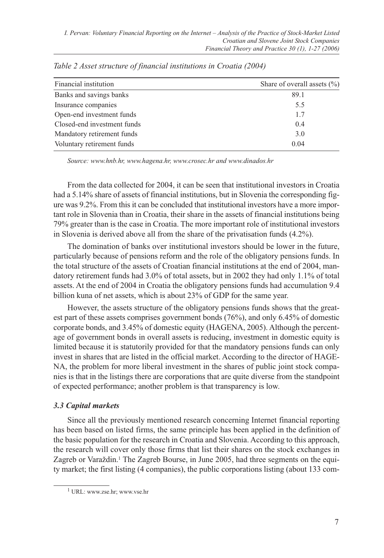| Financial institution       | Share of overall assets $(\% )$ |
|-----------------------------|---------------------------------|
| Banks and savings banks     | 89.1                            |
| Insurance companies         | 5.5                             |
| Open-end investment funds   | 1.7                             |
| Closed-end investment funds | 0.4                             |
| Mandatory retirement funds  | 3.0                             |
| Voluntary retirement funds  | 0.04                            |

*Table 2 Asset structure of financial institutions in Croatia (2004)*

*Source: www.hnb.hr, www.hagena.hr, www.crosec.hr and www.dinados.hr*

From the data collected for 2004, it can be seen that institutional investors in Croatia had a 5.14% share of assets of financial institutions, but in Slovenia the corresponding figure was 9.2%. From this it can be concluded that institutional investors have a more important role in Slovenia than in Croatia, their share in the assets of financial institutions being 79% greater than is the case in Croatia. The more important role of institutional investors in Slovenia is derived above all from the share of the privatisation funds (4.2%).

The domination of banks over institutional investors should be lower in the future, particularly because of pensions reform and the role of the obligatory pensions funds. In the total structure of the assets of Croatian financial institutions at the end of 2004, mandatory retirement funds had 3.0% of total assets, but in 2002 they had only 1.1% of total assets. At the end of 2004 in Croatia the obligatory pensions funds had accumulation 9.4 billion kuna of net assets, which is about 23% of GDP for the same year.

However, the assets structure of the obligatory pensions funds shows that the greatest part of these assets comprises government bonds (76%), and only 6.45% of domestic corporate bonds, and 3.45% of domestic equity (HAGENA, 2005). Although the percentage of government bonds in overall assets is reducing, investment in domestic equity is limited because it is statutorily provided for that the mandatory pensions funds can only invest in shares that are listed in the official market. According to the director of HAGE-NA, the problem for more liberal investment in the shares of public joint stock companies is that in the listings there are corporations that are quite diverse from the standpoint of expected performance; another problem is that transparency is low.

# *3.3 Capital markets*

Since all the previously mentioned research concerning Internet financial reporting has been based on listed firms, the same principle has been applied in the definition of the basic population for the research in Croatia and Slovenia. According to this approach, the research will cover only those firms that list their shares on the stock exchanges in Zagreb or Varaždin.1 The Zagreb Bourse, in June 2005, had three segments on the equity market; the first listing (4 companies), the public corporations listing (about 133 com-

<sup>1</sup> URL: www.zse.hr; www.vse.hr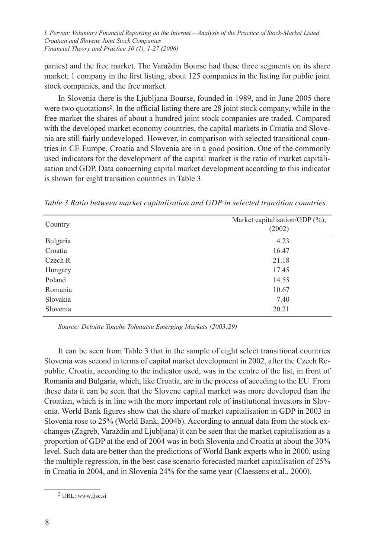panies) and the free market. The Varaždin Bourse had these three segments on its share market; 1 company in the first listing, about 125 companies in the listing for public joint stock companies, and the free market.

In Slovenia there is the Ljubljana Bourse, founded in 1989, and in June 2005 there were two quotations2. In the official listing there are 28 joint stock company, while in the free market the shares of about a hundred joint stock companies are traded. Compared with the developed market economy countries, the capital markets in Croatia and Slovenia are still fairly undeveloped. However, in comparison with selected transitional countries in CE Europe, Croatia and Slovenia are in a good position. One of the commonly used indicators for the development of the capital market is the ratio of market capitalisation and GDP. Data concerning capital market development according to this indicator is shown for eight transition countries in Table 3.

| Country  | Market capitalisation/GDP $(\%)$ ,<br>(2002) |
|----------|----------------------------------------------|
| Bulgaria | 4.23                                         |
| Croatia  | 16.47                                        |
| Czech R  | 21.18                                        |
| Hungary  | 17.45                                        |
| Poland   | 14.55                                        |
| Romania  | 10.67                                        |
| Slovakia | 7.40                                         |
| Slovenia | 20.21                                        |
|          |                                              |

*Table 3 Ratio between market capitalisation and GDP in selected transition countries*

*Source: Deloitte Touche Tohmatsu Emerging Markets (2003:29)*

It can be seen from Table 3 that in the sample of eight select transitional countries Slovenia was second in terms of capital market development in 2002, after the Czech Republic. Croatia, according to the indicator used, was in the centre of the list, in front of Romania and Bulgaria, which, like Croatia, are in the process of acceding to the EU. From these data it can be seen that the Slovene capital market was more developed than the Croatian, which is in line with the more important role of institutional investors in Slovenia. World Bank figures show that the share of market capitalisation in GDP in 2003 in Slovenia rose to 25% (World Bank, 2004b). According to annual data from the stock exchanges (Zagreb, Varaždin and Ljubljana) it can be seen that the market capitalisation as a proportion of GDP at the end of 2004 was in both Slovenia and Croatia at about the 30% level. Such data are better than the predictions of World Bank experts who in 2000, using the multiple regression, in the best case scenario forecasted market capitalisation of 25% in Croatia in 2004, and in Slovenia 24% for the same year (Claessens et al., 2000).

<sup>2</sup> URL: www.ljse.si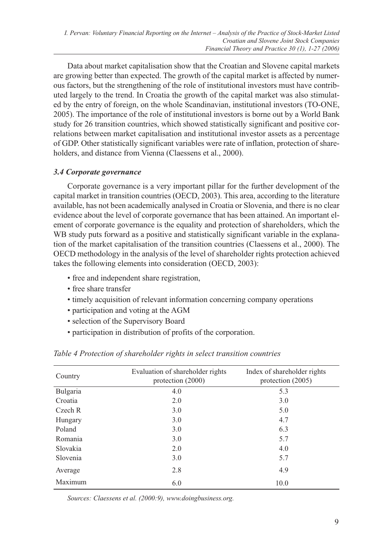Data about market capitalisation show that the Croatian and Slovene capital markets are growing better than expected. The growth of the capital market is affected by numerous factors, but the strengthening of the role of institutional investors must have contributed largely to the trend. In Croatia the growth of the capital market was also stimulated by the entry of foreign, on the whole Scandinavian, institutional investors (TO-ONE, 2005). The importance of the role of institutional investors is borne out by a World Bank study for 26 transition countries, which showed statistically significant and positive correlations between market capitalisation and institutional investor assets as a percentage of GDP. Other statistically significant variables were rate of inflation, protection of shareholders, and distance from Vienna (Claessens et al., 2000).

# *3.4 Corporate governance*

Corporate governance is a very important pillar for the further development of the capital market in transition countries (OECD, 2003). This area, according to the literature available, has not been academically analysed in Croatia or Slovenia, and there is no clear evidence about the level of corporate governance that has been attained. An important element of corporate governance is the equality and protection of shareholders, which the WB study puts forward as a positive and statistically significant variable in the explanation of the market capitalisation of the transition countries (Claessens et al., 2000). The OECD methodology in the analysis of the level of shareholder rights protection achieved takes the following elements into consideration (OECD, 2003):

- free and independent share registration,
- free share transfer
- timely acquisition of relevant information concerning company operations
- participation and voting at the AGM
- selection of the Supervisory Board
- participation in distribution of profits of the corporation.

| Country  | Evaluation of shareholder rights<br>protection (2000) | Index of shareholder rights<br>protection (2005) |
|----------|-------------------------------------------------------|--------------------------------------------------|
| Bulgaria | 4.0                                                   | 5.3                                              |
| Croatia  | 2.0                                                   | 3.0                                              |
| Czech R  | 3.0                                                   | 5.0                                              |
| Hungary  | 3.0                                                   | 4.7                                              |
| Poland   | 3.0                                                   | 6.3                                              |
| Romania  | 3.0                                                   | 5.7                                              |
| Slovakia | 2.0                                                   | 4.0                                              |
| Slovenia | 3.0                                                   | 5.7                                              |
| Average  | 2.8                                                   | 4.9                                              |
| Maximum  | 6.0                                                   | 10.0                                             |

*Table 4 Protection of shareholder rights in select transition countries*

*Sources: Claessens et al. (2000:9), www.doingbusiness.org.*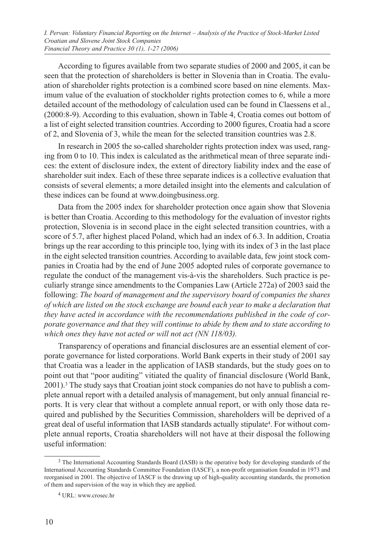According to figures available from two separate studies of 2000 and 2005, it can be seen that the protection of shareholders is better in Slovenia than in Croatia. The evaluation of shareholder rights protection is a combined score based on nine elements. Maximum value of the evaluation of stockholder rights protection comes to 6, while a more detailed account of the methodology of calculation used can be found in Claessens et al., (2000:8-9). According to this evaluation, shown in Table 4, Croatia comes out bottom of a list of eight selected transition countries. According to 2000 figures, Croatia had a score of 2, and Slovenia of 3, while the mean for the selected transition countries was 2.8.

In research in 2005 the so-called shareholder rights protection index was used, ranging from 0 to 10. This index is calculated as the arithmetical mean of three separate indices: the extent of disclosure index, the extent of directory liability index and the ease of shareholder suit index. Each of these three separate indices is a collective evaluation that consists of several elements; a more detailed insight into the elements and calculation of these indices can be found at www.doingbusiness.org.

Data from the 2005 index for shareholder protection once again show that Slovenia is better than Croatia. According to this methodology for the evaluation of investor rights protection, Slovenia is in second place in the eight selected transition countries, with a score of 5.7, after highest placed Poland, which had an index of 6.3. In addition, Croatia brings up the rear according to this principle too, lying with its index of 3 in the last place in the eight selected transition countries. According to available data, few joint stock companies in Croatia had by the end of June 2005 adopted rules of corporate governance to regulate the conduct of the management vis-à-vis the shareholders. Such practice is peculiarly strange since amendments to the Companies Law (Article 272a) of 2003 said the following: *The board of management and the supervisory board of companies the shares of which are listed on the stock exchange are bound each year to make a declaration that they have acted in accordance with the recommendations published in the code of corporate governance and that they will continue to abide by them and to state according to which ones they have not acted or will not act (NN 118/03).*

Transparency of operations and financial disclosures are an essential element of corporate governance for listed corporations. World Bank experts in their study of 2001 say that Croatia was a leader in the application of IASB standards, but the study goes on to point out that "poor auditing" vitiated the quality of financial disclosure (World Bank, 2001).3 The study says that Croatian joint stock companies do not have to publish a complete annual report with a detailed analysis of management, but only annual financial reports. It is very clear that without a complete annual report, or with only those data required and published by the Securities Commission, shareholders will be deprived of a great deal of useful information that IASB standards actually stipulate4. For without complete annual reports, Croatia shareholders will not have at their disposal the following useful information:

<sup>3</sup> The International Accounting Standards Board (IASB) is the operative body for developing standards of the International Accounting Standards Committee Foundation (IASCF), a non-profit organisation founded in 1973 and reorganised in 2001. The objective of IASCF is the drawing up of high-quality accounting standards, the promotion of them and supervision of the way in which they are applied.

<sup>4</sup> URL: www.crosec.hr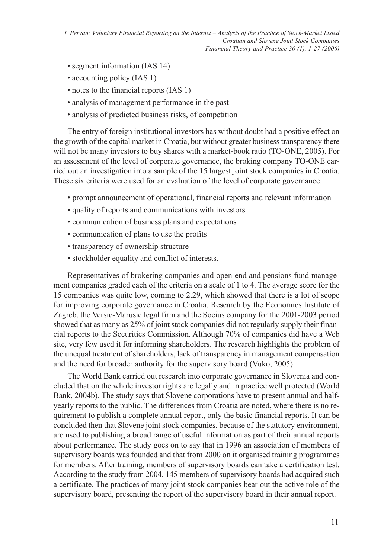- segment information (IAS 14)
- accounting policy (IAS 1)
- notes to the financial reports (IAS 1)
- analysis of management performance in the past
- analysis of predicted business risks, of competition

The entry of foreign institutional investors has without doubt had a positive effect on the growth of the capital market in Croatia, but without greater business transparency there will not be many investors to buy shares with a market-book ratio (TO-ONE, 2005). For an assessment of the level of corporate governance, the broking company TO-ONE carried out an investigation into a sample of the 15 largest joint stock companies in Croatia. These six criteria were used for an evaluation of the level of corporate governance:

- prompt announcement of operational, financial reports and relevant information
- quality of reports and communications with investors
- communication of business plans and expectations
- communication of plans to use the profits
- transparency of ownership structure
- stockholder equality and conflict of interests.

Representatives of brokering companies and open-end and pensions fund management companies graded each of the criteria on a scale of 1 to 4. The average score for the 15 companies was quite low, coming to 2.29, which showed that there is a lot of scope for improving corporate governance in Croatia. Research by the Economics Institute of Zagreb, the Versic-Marusic legal firm and the Socius company for the 2001-2003 period showed that as many as 25% of joint stock companies did not regularly supply their financial reports to the Securities Commission. Although 70% of companies did have a Web site, very few used it for informing shareholders. The research highlights the problem of the unequal treatment of shareholders, lack of transparency in management compensation and the need for broader authority for the supervisory board (Vuko, 2005).

The World Bank carried out research into corporate governance in Slovenia and concluded that on the whole investor rights are legally and in practice well protected (World Bank, 2004b). The study says that Slovene corporations have to present annual and halfyearly reports to the public. The differences from Croatia are noted, where there is no requirement to publish a complete annual report, only the basic financial reports. It can be concluded then that Slovene joint stock companies, because of the statutory environment, are used to publishing a broad range of useful information as part of their annual reports about performance. The study goes on to say that in 1996 an association of members of supervisory boards was founded and that from 2000 on it organised training programmes for members. After training, members of supervisory boards can take a certification test. According to the study from 2004, 145 members of supervisory boards had acquired such a certificate. The practices of many joint stock companies bear out the active role of the supervisory board, presenting the report of the supervisory board in their annual report.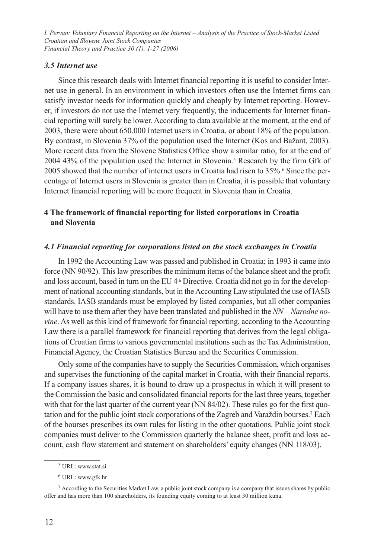### *3.5 Internet use*

Since this research deals with Internet financial reporting it is useful to consider Internet use in general. In an environment in which investors often use the Internet firms can satisfy investor needs for information quickly and cheaply by Internet reporting. However, if investors do not use the Internet very frequently, the inducements for Internet financial reporting will surely be lower. According to data available at the moment, at the end of 2003, there were about 650.000 Internet users in Croatia, or about 18% of the population. By contrast, in Slovenia 37% of the population used the Internet (Kos and Bažant, 2003). More recent data from the Slovene Statistics Office show a similar ratio, for at the end of 2004 43% of the population used the Internet in Slovenia.5 Research by the firm Gfk of 2005 showed that the number of internet users in Croatia had risen to 35%.6 Since the percentage of Internet users in Slovenia is greater than in Croatia, it is possible that voluntary Internet financial reporting will be more frequent in Slovenia than in Croatia.

# **4 The framework of financial reporting for listed corporations in Croatia and Slovenia**

#### *4.1 Financial reporting for corporations listed on the stock exchanges in Croatia*

In 1992 the Accounting Law was passed and published in Croatia; in 1993 it came into force (NN 90/92). This law prescribes the minimum items of the balance sheet and the profit and loss account, based in turn on the EU  $4<sup>th</sup>$  Directive. Croatia did not go in for the development of national accounting standards, but in the Accounting Law stipulated the use of IASB standards. IASB standards must be employed by listed companies, but all other companies will have to use them after they have been translated and published in the *NN – Narodne novine*. As well as this kind of framework for financial reporting, according to the Accounting Law there is a parallel framework for financial reporting that derives from the legal obligations of Croatian firms to various governmental institutions such as the Tax Administration, Financial Agency, the Croatian Statistics Bureau and the Securities Commission.

Only some of the companies have to supply the Securities Commission, which organises and supervises the functioning of the capital market in Croatia, with their financial reports. If a company issues shares, it is bound to draw up a prospectus in which it will present to the Commission the basic and consolidated financial reports for the last three years, together with that for the last quarter of the current year (NN 84/02). These rules go for the first quotation and for the public joint stock corporations of the Zagreb and Varaždin bourses.7 Each of the bourses prescribes its own rules for listing in the other quotations. Public joint stock companies must deliver to the Commission quarterly the balance sheet, profit and loss account, cash flow statement and statement on shareholders' equity changes (NN 118/03).

<sup>5</sup> URL: www.stat.si

<sup>6</sup> URL: www.gfk.hr

<sup>7</sup> According to the Securities Market Law, a public joint stock company is a company that issues shares by public offer and has more than 100 shareholders, its founding equity coming to at least 30 million kuna.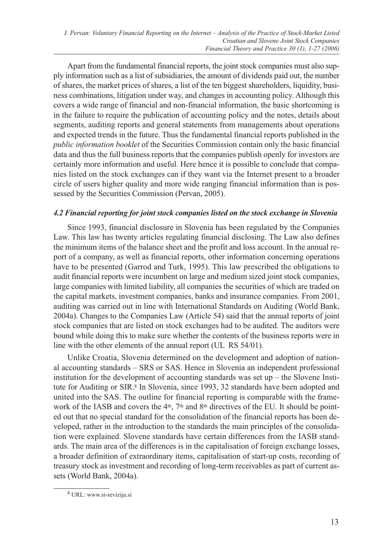Apart from the fundamental financial reports, the joint stock companies must also supply information such as a list of subsidiaries, the amount of dividends paid out, the number of shares, the market prices of shares, a list of the ten biggest shareholders, liquidity, business combinations, litigation under way, and changes in accounting policy. Although this covers a wide range of financial and non-financial information, the basic shortcoming is in the failure to require the publication of accounting policy and the notes, details about segments, auditing reports and general statements from managements about operations and expected trends in the future. Thus the fundamental financial reports published in the *public information booklet* of the Securities Commission contain only the basic financial data and thus the full business reports that the companies publish openly for investors are certainly more information and useful. Here hence it is possible to conclude that companies listed on the stock exchanges can if they want via the Internet present to a broader circle of users higher quality and more wide ranging financial information than is possessed by the Securities Commission (Pervan, 2005).

# *4.2 Financial reporting for joint stock companies listed on the stock exchange in Slovenia*

Since 1993, financial disclosure in Slovenia has been regulated by the Companies Law. This law has twenty articles regulating financial disclosing. The Law also defines the minimum items of the balance sheet and the profit and loss account. In the annual report of a company, as well as financial reports, other information concerning operations have to be presented (Garrod and Turk, 1995). This law prescribed the obligations to audit financial reports were incumbent on large and medium sized joint stock companies, large companies with limited liability, all companies the securities of which are traded on the capital markets, investment companies, banks and insurance companies. From 2001, auditing was carried out in line with International Standards on Auditing (World Bank, 2004a). Changes to the Companies Law (Article 54) said that the annual reports of joint stock companies that are listed on stock exchanges had to be audited. The auditors were bound while doing this to make sure whether the contents of the business reports were in line with the other elements of the annual report (UL RS 54/01).

Unlike Croatia, Slovenia determined on the development and adoption of national accounting standards – SRS or SAS. Hence in Slovenia an independent professional institution for the development of accounting standards was set up  $-$  the Slovene Institute for Auditing or SIR.<sup>8</sup> In Slovenia, since 1993, 32 standards have been adopted and united into the SAS. The outline for financial reporting is comparable with the framework of the IASB and covers the  $4<sup>th</sup>$ , 7<sup>th</sup> and 8<sup>th</sup> directives of the EU. It should be pointed out that no special standard for the consolidation of the financial reports has been developed, rather in the introduction to the standards the main principles of the consolidation were explained. Slovene standards have certain differences from the IASB standards. The main area of the differences is in the capitalisation of foreign exchange losses, a broader definition of extraordinary items, capitalisation of start-up costs, recording of treasury stock as investment and recording of long-term receivables as part of current assets (World Bank, 2004a).

<sup>8</sup> URL: www.si-revizija.si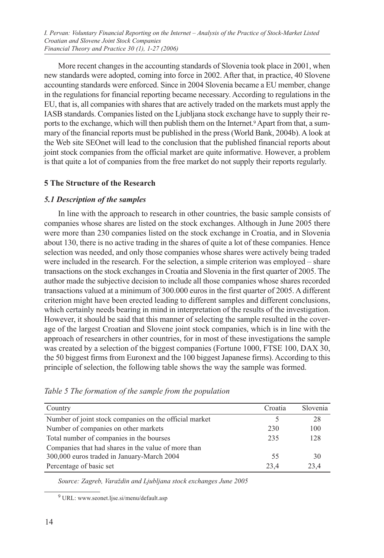More recent changes in the accounting standards of Slovenia took place in 2001, when new standards were adopted, coming into force in 2002. After that, in practice, 40 Slovene accounting standards were enforced. Since in 2004 Slovenia became a EU member, change in the regulations for financial reporting became necessary. According to regulations in the EU, that is, all companies with shares that are actively traded on the markets must apply the IASB standards. Companies listed on the Ljubljana stock exchange have to supply their reports to the exchange, which will then publish them on the Internet.9 Apart from that, a summary of the financial reports must be published in the press (World Bank, 2004b). A look at the Web site SEOnet will lead to the conclusion that the published financial reports about joint stock companies from the official market are quite informative. However, a problem is that quite a lot of companies from the free market do not supply their reports regularly.

#### **5 The Structure of the Research**

#### *5.1 Description of the samples*

In line with the approach to research in other countries, the basic sample consists of companies whose shares are listed on the stock exchanges. Although in June 2005 there were more than 230 companies listed on the stock exchange in Croatia, and in Slovenia about 130, there is no active trading in the shares of quite a lot of these companies. Hence selection was needed, and only those companies whose shares were actively being traded were included in the research. For the selection, a simple criterion was employed – share transactions on the stock exchanges in Croatia and Slovenia in the first quarter of 2005. The author made the subjective decision to include all those companies whose shares recorded transactions valued at a minimum of 300.000 euros in the first quarter of 2005. A different criterion might have been erected leading to different samples and different conclusions, which certainly needs bearing in mind in interpretation of the results of the investigation. However, it should be said that this manner of selecting the sample resulted in the coverage of the largest Croatian and Slovene joint stock companies, which is in line with the approach of researchers in other countries, for in most of these investigations the sample was created by a selection of the biggest companies (Fortune 1000, FTSE 100, DAX 30, the 50 biggest firms from Euronext and the 100 biggest Japanese firms). According to this principle of selection, the following table shows the way the sample was formed.

| Country                                                | Croatia | Slovenia |
|--------------------------------------------------------|---------|----------|
| Number of joint stock companies on the official market |         | 28       |
| Number of companies on other markets                   | 230     | 100      |
| Total number of companies in the bourses               | 235     | 128      |
| Companies that had shares in the value of more than    |         |          |
| 300,000 euros traded in January-March 2004             | 55      | 30       |
| Percentage of basic set                                | 23.4    | 23.4     |

*Table 5 The formation of the sample from the population*

*Source: Zagreb, Varaždin and Ljubljana stock exchanges June 2005*

<sup>9</sup> URL: www.seonet.ljse.si/menu/default.asp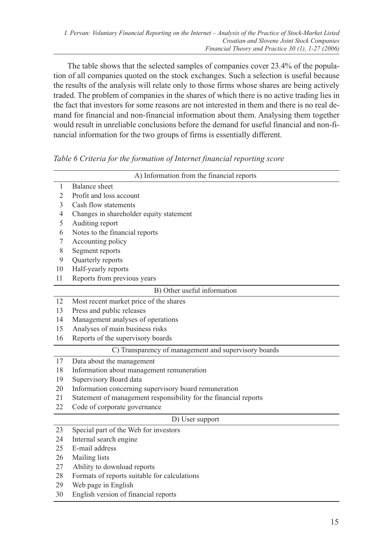The table shows that the selected samples of companies cover 23.4% of the population of all companies quoted on the stock exchanges. Such a selection is useful because the results of the analysis will relate only to those firms whose shares are being actively traded. The problem of companies in the shares of which there is no active trading lies in the fact that investors for some reasons are not interested in them and there is no real demand for financial and non-financial information about them. Analysing them together would result in unreliable conclusions before the demand for useful financial and non-financial information for the two groups of firms is essentially different.

*Table 6 Criteria for the formation of Internet financial reporting score*

|                | A) Information from the financial reports                        |
|----------------|------------------------------------------------------------------|
| $\mathbf{1}$   | <b>Balance</b> sheet                                             |
| $\overline{2}$ | Profit and loss account                                          |
| 3              | Cash flow statements                                             |
| $\overline{4}$ | Changes in shareholder equity statement                          |
| 5              | Auditing report                                                  |
| 6              | Notes to the financial reports                                   |
| 7              | Accounting policy                                                |
| 8              | Segment reports                                                  |
| 9              | Quarterly reports                                                |
| 10             | Half-yearly reports                                              |
| 11             | Reports from previous years                                      |
|                | B) Other useful information                                      |
| 12             | Most recent market price of the shares                           |
| 13             | Press and public releases                                        |
| 14             | Management analyses of operations                                |
| 15             | Analyses of main business risks                                  |
| 16             | Reports of the supervisory boards                                |
|                | C) Transparency of management and supervisory boards             |
| 17             | Data about the management                                        |
| 18             | Information about management remuneration                        |
| 19             | Supervisory Board data                                           |
| 20             | Information concerning supervisory board remuneration            |
| 21             | Statement of management responsibility for the financial reports |
| 22             | Code of corporate governance                                     |
|                | D) User support                                                  |
| 23             | Special part of the Web for investors                            |
| 24             | Internal search engine                                           |
| 25             | E-mail address                                                   |
| 26             | Mailing lists                                                    |
| 27             | Ability to download reports                                      |

- 28 Formats of reports suitable for calculations
- 29 Web page in English
- 30 English version of financial reports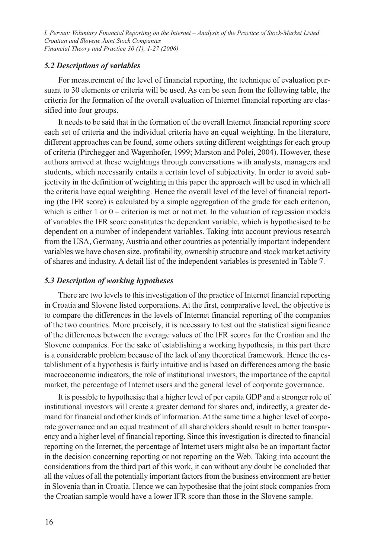# *5.2 Descriptions of variables*

For measurement of the level of financial reporting, the technique of evaluation pursuant to 30 elements or criteria will be used. As can be seen from the following table, the criteria for the formation of the overall evaluation of Internet financial reporting are classified into four groups.

It needs to be said that in the formation of the overall Internet financial reporting score each set of criteria and the individual criteria have an equal weighting. In the literature, different approaches can be found, some others setting different weightings for each group of criteria (Pirchegger and Wagenhofer, 1999; Marston and Polei, 2004). However, these authors arrived at these weightings through conversations with analysts, managers and students, which necessarily entails a certain level of subjectivity. In order to avoid subjectivity in the definition of weighting in this paper the approach will be used in which all the criteria have equal weighting. Hence the overall level of the level of financial reporting (the IFR score) is calculated by a simple aggregation of the grade for each criterion, which is either  $1$  or  $0$  – criterion is met or not met. In the valuation of regression models of variables the IFR score constitutes the dependent variable, which is hypothesised to be dependent on a number of independent variables. Taking into account previous research from the USA, Germany, Austria and other countries as potentially important independent variables we have chosen size, profitability, ownership structure and stock market activity of shares and industry. A detail list of the independent variables is presented in Table 7.

# *5.3 Description of working hypotheses*

There are two levels to this investigation of the practice of Internet financial reporting in Croatia and Slovene listed corporations. At the first, comparative level, the objective is to compare the differences in the levels of Internet financial reporting of the companies of the two countries. More precisely, it is necessary to test out the statistical significance of the differences between the average values of the IFR scores for the Croatian and the Slovene companies. For the sake of establishing a working hypothesis, in this part there is a considerable problem because of the lack of any theoretical framework. Hence the establishment of a hypothesis is fairly intuitive and is based on differences among the basic macroeconomic indicators, the role of institutional investors, the importance of the capital market, the percentage of Internet users and the general level of corporate governance.

It is possible to hypothesise that a higher level of per capita GDP and a stronger role of institutional investors will create a greater demand for shares and, indirectly, a greater demand for financial and other kinds of information. At the same time a higher level of corporate governance and an equal treatment of all shareholders should result in better transparency and a higher level of financial reporting. Since this investigation is directed to financial reporting on the Internet, the percentage of Internet users might also be an important factor in the decision concerning reporting or not reporting on the Web. Taking into account the considerations from the third part of this work, it can without any doubt be concluded that all the values of all the potentially important factors from the business environment are better in Slovenia than in Croatia. Hence we can hypothesise that the joint stock companies from the Croatian sample would have a lower IFR score than those in the Slovene sample.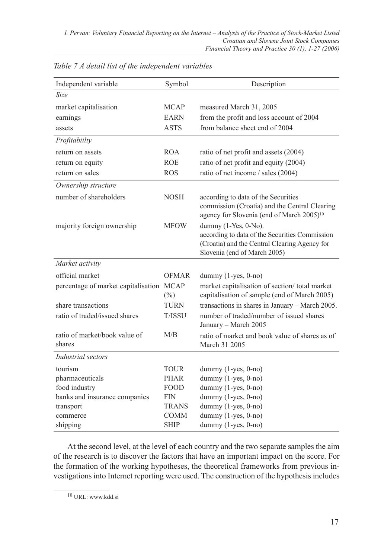| Independent variable                    | Symbol                | Description                                                                                                                                                |
|-----------------------------------------|-----------------------|------------------------------------------------------------------------------------------------------------------------------------------------------------|
| Size                                    |                       |                                                                                                                                                            |
| market capitalisation                   | <b>MCAP</b>           | measured March 31, 2005                                                                                                                                    |
| earnings                                | <b>EARN</b>           | from the profit and loss account of 2004                                                                                                                   |
| assets                                  | <b>ASTS</b>           | from balance sheet end of 2004                                                                                                                             |
| Profitabiilty                           |                       |                                                                                                                                                            |
| return on assets                        | <b>ROA</b>            | ratio of net profit and assets (2004)                                                                                                                      |
| return on equity                        | <b>ROE</b>            | ratio of net profit and equity (2004)                                                                                                                      |
| return on sales                         | <b>ROS</b>            | ratio of net income / sales (2004)                                                                                                                         |
| Ownership structure                     |                       |                                                                                                                                                            |
| number of shareholders                  | <b>NOSH</b>           | according to data of the Securities<br>commission (Croatia) and the Central Clearing<br>agency for Slovenia (end of March 2005) <sup>10</sup>              |
| majority foreign ownership              | <b>MFOW</b>           | dummy $(1-Yes, 0-No)$ .<br>according to data of the Securities Commission<br>(Croatia) and the Central Clearing Agency for<br>Slovenia (end of March 2005) |
| Market activity                         |                       |                                                                                                                                                            |
| official market                         | <b>OFMAR</b>          | dummy $(1$ -yes, $0$ -no)                                                                                                                                  |
| percentage of market capitalisation     | <b>MCAP</b><br>$(\%)$ | market capitalisation of section/total market<br>capitalisation of sample (end of March 2005)                                                              |
| share transactions                      | <b>TURN</b>           | transactions in shares in January - March 2005.                                                                                                            |
| ratio of traded/issued shares           | <b>T/ISSU</b>         | number of traded/number of issued shares<br>January - March 2005                                                                                           |
| ratio of market/book value of<br>shares | M/B                   | ratio of market and book value of shares as of<br>March 31 2005                                                                                            |
| Industrial sectors                      |                       |                                                                                                                                                            |
| tourism                                 | TOUR                  | dummy $(1$ -yes, $0$ -no)                                                                                                                                  |
| pharmaceuticals                         | <b>PHAR</b>           | dummy (1-yes, 0-no)                                                                                                                                        |
| food industry                           | <b>FOOD</b>           | dummy (1-yes, 0-no)                                                                                                                                        |
| banks and insurance companies           | <b>FIN</b>            | dummy (1-yes, 0-no)                                                                                                                                        |
| transport                               | <b>TRANS</b>          | dummy (1-yes, 0-no)                                                                                                                                        |
| commerce                                | COMM                  | dummy $(1$ -yes, $0$ -no)                                                                                                                                  |
| shipping                                | SHIP                  | dummy $(1$ -yes, $0$ -no)                                                                                                                                  |

*Table 7 A detail list of the independent variables*

At the second level, at the level of each country and the two separate samples the aim of the research is to discover the factors that have an important impact on the score. For the formation of the working hypotheses, the theoretical frameworks from previous investigations into Internet reporting were used. The construction of the hypothesis includes

<sup>10</sup> URL: www.kdd.si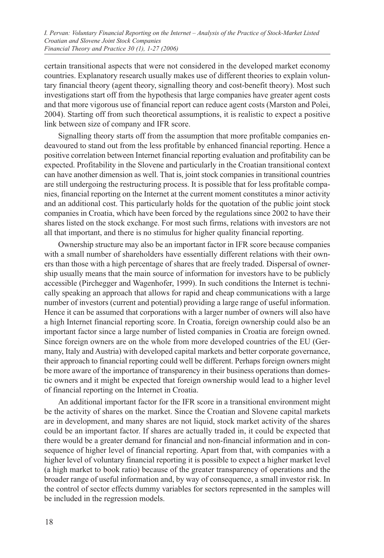certain transitional aspects that were not considered in the developed market economy countries. Explanatory research usually makes use of different theories to explain voluntary financial theory (agent theory, signalling theory and cost-benefit theory). Most such investigations start off from the hypothesis that large companies have greater agent costs and that more vigorous use of financial report can reduce agent costs (Marston and Polei, 2004). Starting off from such theoretical assumptions, it is realistic to expect a positive link between size of company and IFR score.

Signalling theory starts off from the assumption that more profitable companies endeavoured to stand out from the less profitable by enhanced financial reporting. Hence a positive correlation between Internet financial reporting evaluation and profitability can be expected. Profitability in the Slovene and particularly in the Croatian transitional context can have another dimension as well. That is, joint stock companies in transitional countries are still undergoing the restructuring process. It is possible that for less profitable companies, financial reporting on the Internet at the current moment constitutes a minor activity and an additional cost. This particularly holds for the quotation of the public joint stock companies in Croatia, which have been forced by the regulations since 2002 to have their shares listed on the stock exchange. For most such firms, relations with investors are not all that important, and there is no stimulus for higher quality financial reporting.

Ownership structure may also be an important factor in IFR score because companies with a small number of shareholders have essentially different relations with their owners than those with a high percentage of shares that are freely traded. Dispersal of ownership usually means that the main source of information for investors have to be publicly accessible (Pirchegger and Wagenhofer, 1999). In such conditions the Internet is technically speaking an approach that allows for rapid and cheap communications with a large number of investors (current and potential) providing a large range of useful information. Hence it can be assumed that corporations with a larger number of owners will also have a high Internet financial reporting score. In Croatia, foreign ownership could also be an important factor since a large number of listed companies in Croatia are foreign owned. Since foreign owners are on the whole from more developed countries of the EU (Germany, Italy and Austria) with developed capital markets and better corporate governance, their approach to financial reporting could well be different. Perhaps foreign owners might be more aware of the importance of transparency in their business operations than domestic owners and it might be expected that foreign ownership would lead to a higher level of financial reporting on the Internet in Croatia.

An additional important factor for the IFR score in a transitional environment might be the activity of shares on the market. Since the Croatian and Slovene capital markets are in development, and many shares are not liquid, stock market activity of the shares could be an important factor. If shares are actually traded in, it could be expected that there would be a greater demand for financial and non-financial information and in consequence of higher level of financial reporting. Apart from that, with companies with a higher level of voluntary financial reporting it is possible to expect a higher market level (a high market to book ratio) because of the greater transparency of operations and the broader range of useful information and, by way of consequence, a small investor risk. In the control of sector effects dummy variables for sectors represented in the samples will be included in the regression models.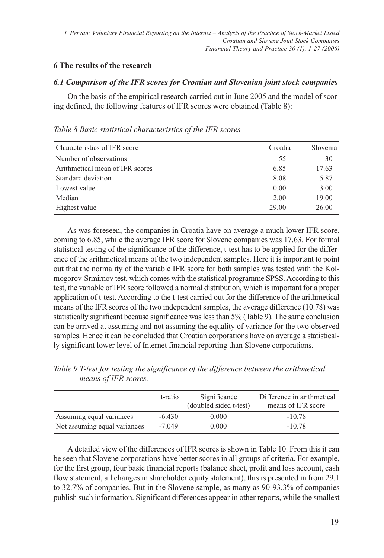# **6 The results of the research**

# *6.1 Comparison of the IFR scores for Croatian and Slovenian joint stock companies*

On the basis of the empirical research carried out in June 2005 and the model of scoring defined, the following features of IFR scores were obtained (Table 8):

| Characteristics of IFR score    | Croatia | Slovenia |
|---------------------------------|---------|----------|
| Number of observations          | 55      | 30       |
| Arithmetical mean of IFR scores | 6.85    | 17.63    |
| Standard deviation              | 8.08    | 5.87     |
| Lowest value                    | 0.00    | 3.00     |
| Median                          | 2.00    | 19.00    |
| Highest value                   | 29.00   | 26.00    |

*Table 8 Basic statistical characteristics of the IFR scores*

As was foreseen, the companies in Croatia have on average a much lower IFR score, coming to 6.85, while the average IFR score for Slovene companies was 17.63. For formal statistical testing of the significance of the difference, t-test has to be applied for the difference of the arithmetical means of the two independent samples. Here it is important to point out that the normality of the variable IFR score for both samples was tested with the Kolmogorov-Srmirnov test, which comes with the statistical programme SPSS. According to this test, the variable of IFR score followed a normal distribution, which is important for a proper application of t-test. According to the t-test carried out for the difference of the arithmetical means of the IFR scores of the two independent samples, the average difference (10.78) was statistically significant because significance was less than 5% (Table 9). The same conclusion can be arrived at assuming and not assuming the equality of variance for the two observed samples. Hence it can be concluded that Croatian corporations have on average a statistically significant lower level of Internet financial reporting than Slovene corporations.

|                              | t-ratio  | Significance<br>(doubled sided t-test) | Difference in arithmetical<br>means of IFR score |
|------------------------------|----------|----------------------------------------|--------------------------------------------------|
| Assuming equal variances     | $-6.430$ | 0.000                                  | $-10.78$                                         |
| Not assuming equal variances | $-7.049$ | 0.000                                  | $-10.78$                                         |

*Table 9 T-test for testing the significance of the difference between the arithmetical means of IFR scores.*

A detailed view of the differences of IFR scores is shown in Table 10. From this it can be seen that Slovene corporations have better scores in all groups of criteria. For example, for the first group, four basic financial reports (balance sheet, profit and loss account, cash flow statement, all changes in shareholder equity statement), this is presented in from 29.1 to 32.7% of companies. But in the Slovene sample, as many as 90-93.3% of companies publish such information. Significant differences appear in other reports, while the smallest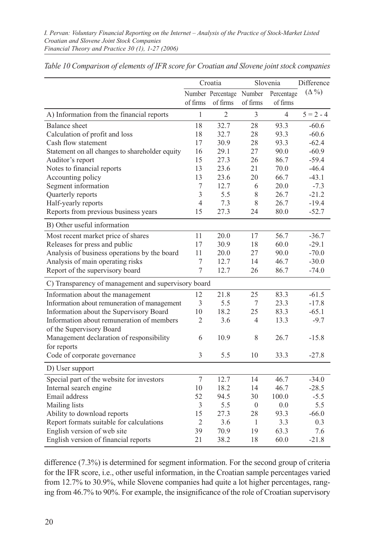|                                                     | Croatia        |                          | Slovenia       |                | Difference    |
|-----------------------------------------------------|----------------|--------------------------|----------------|----------------|---------------|
|                                                     |                | Number Percentage Number |                | Percentage     | $(\Delta\% )$ |
|                                                     | of firms       | of firms                 | of firms       | of firms       |               |
| A) Information from the financial reports           | $\mathbf{1}$   | $\overline{2}$           | 3              | $\overline{4}$ | $5 = 2 - 4$   |
| <b>Balance</b> sheet                                | 18             | 32.7                     | 28             | 93.3           | $-60.6$       |
| Calculation of profit and loss                      | 18             | 32.7                     | 28             | 93.3           | $-60.6$       |
| Cash flow statement                                 | 17             | 30.9                     | 28             | 93.3           | $-62.4$       |
| Statement on all changes to shareholder equity      | 16             | 29.1                     | 27             | 90.0           | $-60.9$       |
| Auditor's report                                    | 15             | 27.3                     | 26             | 86.7           | $-59.4$       |
| Notes to financial reports                          | 13             | 23.6                     | 21             | 70.0           | $-46.4$       |
| Accounting policy                                   | 13             | 23.6                     | 20             | 66.7           | $-43.1$       |
| Segment information                                 | 7              | 12.7                     | 6              | 20.0           | $-7.3$        |
| Quarterly reports                                   | $\mathfrak{Z}$ | 5.5                      | 8              | 26.7           | $-21.2$       |
| Half-yearly reports                                 | 4              | 7.3                      | 8              | 26.7           | $-19.4$       |
| Reports from previous business years                | 15             | 27.3                     | 24             | 80.0           | $-52.7$       |
| B) Other useful information                         |                |                          |                |                |               |
| Most recent market price of shares                  | 11             | 20.0                     | 17             | 56.7           | $-36.7$       |
| Releases for press and public                       | 17             | 30.9                     | 18             | 60.0           | $-29.1$       |
| Analysis of business operations by the board        | 11             | 20.0                     | 27             | 90.0           | $-70.0$       |
| Analysis of main operating risks                    | 7              | 12.7                     | 14             | 46.7           | $-30.0$       |
| Report of the supervisory board                     | 7              | 12.7                     | 26             | 86.7           | $-74.0$       |
| C) Transparency of management and supervisory board |                |                          |                |                |               |
| Information about the management                    | 12             | 21.8                     | 25             | 83.3           | $-61.5$       |
| Information about remuneration of management        | 3              | 5.5                      | 7              | 23.3           | $-17.8$       |
| Information about the Supervisory Board             | 10             | 18.2                     | 25             | 83.3           | $-65.1$       |
| Information about remuneration of members           | 2              | 3.6                      | $\overline{4}$ | 13.3           | $-9.7$        |
| of the Supervisory Board                            |                |                          |                |                |               |
| Management declaration of responsibility            | 6              | 10.9                     | 8              | 26.7           | $-15.8$       |
| for reports<br>Code of corporate governance         | 3              | 5.5                      | 10             | 33.3           | $-27.8$       |
|                                                     |                |                          |                |                |               |
| D) User support                                     |                |                          |                |                |               |
| Special part of the website for investors           | $\overline{7}$ | 12.7                     | 14             | 46.7           | $-34.0$       |
| Internal search engine                              | 10             | 18.2                     | 14             | 46.7           | $-28.5$       |
| Email address                                       | 52             | 94.5                     | 30             | 100.0          | $-5.5$        |
| Mailing lists                                       | 3              | 5.5                      | $\overline{0}$ | 0.0            | 5.5           |
| Ability to download reports                         | 15             | 27.3                     | 28             | 93.3           | $-66.0$       |
| Report formats suitable for calculations            | $\overline{2}$ | 3.6                      | 1              | 3.3            | 0.3           |
| English version of web site                         | 39             | 70.9                     | 19             | 63.3           | 7.6           |
| English version of financial reports                | 21             | 38.2                     | 18             | 60.0           | $-21.8$       |

*Table 10 Comparison of elements of IFR score for Croatian and Slovene joint stock companies*

difference (7.3%) is determined for segment information. For the second group of criteria for the IFR score, i.e., other useful information, in the Croatian sample percentages varied from 12.7% to 30.9%, while Slovene companies had quite a lot higher percentages, ranging from 46.7% to 90%. For example, the insignificance of the role of Croatian supervisory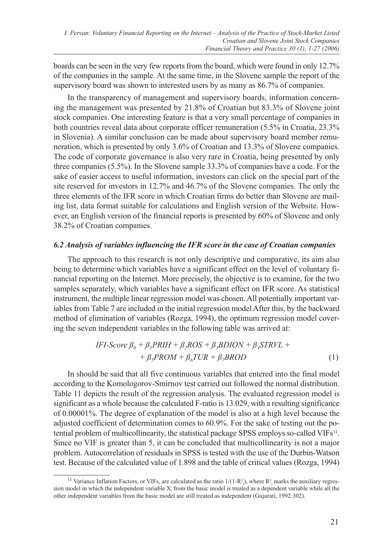boards can be seen in the very few reports from the board, which were found in only 12.7% of the companies in the sample. At the same time, in the Slovene sample the report of the supervisory board was shown to interested users by as many as 86.7% of companies.

In the transparency of management and supervisory boards, information concerning the management was presented by 21.8% of Croatian but 83.3% of Slovene joint stock companies. One interesting feature is that a very small percentage of companies in both countries reveal data about corporate officer remuneration (5.5% in Croatia, 23.3% in Slovenia). A similar conclusion can be made about supervisory board member remuneration, which is presented by only 3.6% of Croatian and 13.3% of Slovene companies. The code of corporate governance is also very rare in Croatia, being presented by only three companies (5.5%). In the Slovene sample 33.3% of companies have a code. For the sake of easier access to useful information, investors can click on the special part of the site reserved for investors in 12.7% and 46.7% of the Slovene companies. The only the three elements of the IFR score in which Croatian firms do better than Slovene are mailing list, data format suitable for calculations and English version of the Website. However, an English version of the financial reports is presented by 60% of Slovene and only 38.2% of Croatian companies.

#### *6.2 Analysis of variables influencing the IFR score in the case of Croatian companies*

The approach to this research is not only descriptive and comparative, its aim also being to determine which variables have a significant effect on the level of voluntary financial reporting on the Internet. More precisely, the objective is to examine, for the two samples separately, which variables have a significant effect on IFR score. As statistical instrument, the multiple linear regression model was chosen. All potentially important variables from Table 7 are included in the initial regression model After this, by the backward method of elimination of variables (Rozga, 1994), the optimum regression model covering the seven independent variables in the following table was arrived at:

$$
IFI-Score\beta_0 + \beta_1 PRIH + \beta_2 ROS + \beta_3 BDION + \beta_4 STRVL ++ \beta_5 PROM + \beta_6 TUR + \beta_7 BROD
$$
 (1)

In should be said that all five continuous variables that entered into the final model according to the Komologorov-Smirnov test carried out followed the normal distribution. Table 11 depicts the result of the regression analysis. The evaluated regression model is significant as a whole because the calculated F-ratio is 13.029, with a resulting significance of 0.00001%. The degree of explanation of the model is also at a high level because the adjusted coefficient of determination comes to 60.9%. For the sake of testing out the potential problem of multicollinearity, the statistical package SPSS employs so-called VIFs<sup>11</sup>. Since no VIF is greater than 5, it can be concluded that multicollinearity is not a major problem. Autocorrelation of residuals in SPSS is tested with the use of the Durbin-Watson test. Because of the calculated value of 1.898 and the table of critical values (Rozga, 1994)

<sup>&</sup>lt;sup>11</sup> Variance Inflation Factors, or VIFs, are calculated as the ratio  $1/(1-R<sub>i</sub>)$ , where  $R<sub>i</sub>$  marks the auxiliary regression model in which the independent variable  $X_i$  from the basic model is treated as a dependent variable while all the other independent variables from the basic model are still treated as independent (Gujurati, 1992:302).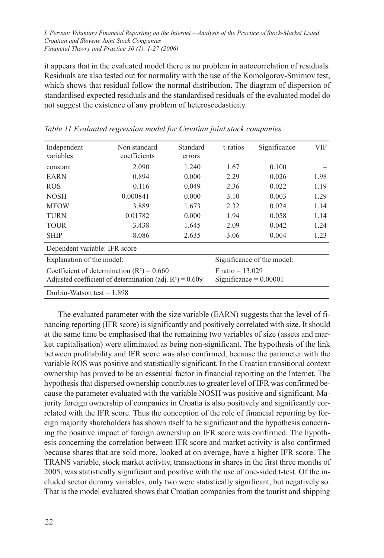it appears that in the evaluated model there is no problem in autocorrelation of residuals. Residuals are also tested out for normality with the use of the Komolgorov-Smirnov test, which shows that residual follow the normal distribution. The diagram of dispersion of standardised expected residuals and the standardised residuals of the evaluated model do not suggest the existence of any problem of heteroscedasticity.

| Independent<br>variables                     | Non standard<br>coefficients                                | Standard<br>errors | t-ratios                 | Significance               | VIF  |
|----------------------------------------------|-------------------------------------------------------------|--------------------|--------------------------|----------------------------|------|
| constant                                     | 2.090                                                       | 1.240              | 1.67                     | 0.100                      |      |
| <b>EARN</b>                                  | 0.894                                                       | 0.000              | 2.29                     | 0.026                      | 1.98 |
| <b>ROS</b>                                   | 0.116                                                       | 0.049              | 2.36                     | 0.022                      | 1.19 |
| <b>NOSH</b>                                  | 0.000841                                                    | 0.000              | 3.10                     | 0.003                      | 1.29 |
| <b>MFOW</b>                                  | 3.889                                                       | 1.673              | 2.32                     | 0.024                      | 1.14 |
| <b>TURN</b>                                  | 0.01782                                                     | 0.000              | 1.94                     | 0.058                      | 1.14 |
| <b>TOUR</b>                                  | $-3.438$                                                    | 1.645              | $-2.09$                  | 0.042                      | 1.24 |
| <b>SHIP</b>                                  | $-8.086$                                                    | 2.635              | $-3.06$                  | 0.004                      | 1.23 |
| Dependent variable: IFR score                |                                                             |                    |                          |                            |      |
| Explanation of the model:                    |                                                             |                    |                          | Significance of the model: |      |
| Coefficient of determination $(R^2) = 0.660$ |                                                             |                    | $F$ ratio = 13.029       |                            |      |
|                                              | Adjusted coefficient of determination (adj. $R^2$ ) = 0.609 |                    | Significance = $0.00001$ |                            |      |
| Durbin-Watson test $= 1.898$                 |                                                             |                    |                          |                            |      |

*Table 11 Evaluated regression model for Croatian joint stock companies*

The evaluated parameter with the size variable (EARN) suggests that the level of financing reporting (IFR score) is significantly and positively correlated with size. It should at the same time be emphasised that the remaining two variables of size (assets and market capitalisation) were eliminated as being non-significant. The hypothesis of the link between profitability and IFR score was also confirmed, because the parameter with the variable ROS was positive and statistically significant. In the Croatian transitional context ownership has proved to be an essential factor in financial reporting on the Internet. The hypothesis that dispersed ownership contributes to greater level of IFR was confirmed because the parameter evaluated with the variable NOSH was positive and significant. Majority foreign ownership of companies in Croatia is also positively and significantly correlated with the IFR score. Thus the conception of the role of financial reporting by foreign majority shareholders has shown itself to be significant and the hypothesis concerning the positive impact of foreign ownership on IFR score was confirmed. The hypothesis concerning the correlation between IFR score and market activity is also confirmed because shares that are sold more, looked at on average, have a higher IFR score. The TRANS variable, stock market activity, transactions in shares in the first three months of 2005, was statistically significant and positive with the use of one-sided t-test. Of the included sector dummy variables, only two were statistically significant, but negatively so. That is the model evaluated shows that Croatian companies from the tourist and shipping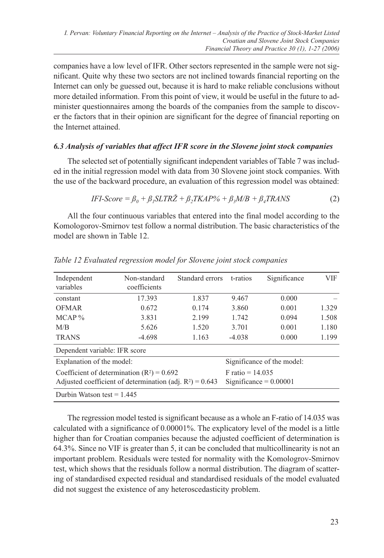companies have a low level of IFR. Other sectors represented in the sample were not significant. Quite why these two sectors are not inclined towards financial reporting on the Internet can only be guessed out, because it is hard to make reliable conclusions without more detailed information. From this point of view, it would be useful in the future to administer questionnaires among the boards of the companies from the sample to discover the factors that in their opinion are significant for the degree of financial reporting on the Internet attained.

# *6.3 Analysis of variables that affect IFR score in the Slovene joint stock companies*

The selected set of potentially significant independent variables of Table 7 was included in the initial regression model with data from 30 Slovene joint stock companies. With the use of the backward procedure, an evaluation of this regression model was obtained:

$$
IFI-Score = \beta_0 + \beta_1 SLTR\ddot{Z} + \beta_2 TKAP\% + \beta_3 M/B + \beta_4 TRANS
$$
 (2)

All the four continuous variables that entered into the final model according to the Komologorov-Smirnov test follow a normal distribution. The basic characteristics of the model are shown in Table 12.

| Independent<br>variables                                    | Non-standard<br>coefficients | Standard errors | t-ratios           | Significance               | <b>VIF</b> |
|-------------------------------------------------------------|------------------------------|-----------------|--------------------|----------------------------|------------|
| constant                                                    | 17.393                       | 1.837           | 9.467              | 0.000                      |            |
| <b>OFMAR</b>                                                | 0.672                        | 0.174           | 3.860              | 0.001                      | 1.329      |
| MCAP <sub>0</sub>                                           | 3.831                        | 2.199           | 1.742              | 0.094                      | 1.508      |
| M/B                                                         | 5.626                        | 1.520           | 3.701              | 0.001                      | 1.180      |
| <b>TRANS</b>                                                | $-4.698$                     | 1.163           | $-4.038$           | 0.000                      | 1.199      |
| Dependent variable: IFR score                               |                              |                 |                    |                            |            |
| Explanation of the model:                                   |                              |                 |                    | Significance of the model: |            |
| Coefficient of determination $(R^2) = 0.692$                |                              |                 | F ratio = $14.035$ |                            |            |
| Adjusted coefficient of determination (adj. $R^2$ ) = 0.643 |                              |                 |                    | Significance = $0.00001$   |            |
| Durbin Watson test = $1.445$                                |                              |                 |                    |                            |            |

*Table 12 Evaluated regression model for Slovene joint stock companies*

The regression model tested is significant because as a whole an F-ratio of 14.035 was calculated with a significance of 0.00001%. The explicatory level of the model is a little higher than for Croatian companies because the adjusted coefficient of determination is 64.3%. Since no VIF is greater than 5, it can be concluded that multicollinearity is not an important problem. Residuals were tested for normality with the Komologrov-Smirnov test, which shows that the residuals follow a normal distribution. The diagram of scattering of standardised expected residual and standardised residuals of the model evaluated did not suggest the existence of any heteroscedasticity problem.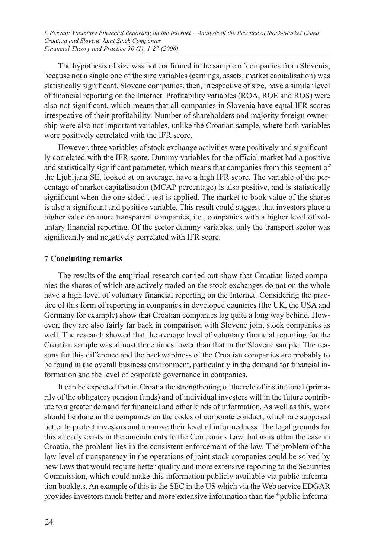The hypothesis of size was not confirmed in the sample of companies from Slovenia, because not a single one of the size variables (earnings, assets, market capitalisation) was statistically significant. Slovene companies, then, irrespective of size, have a similar level of financial reporting on the Internet. Profitability variables (ROA, ROE and ROS) were also not significant, which means that all companies in Slovenia have equal IFR scores irrespective of their profitability. Number of shareholders and majority foreign ownership were also not important variables, unlike the Croatian sample, where both variables were positively correlated with the IFR score.

However, three variables of stock exchange activities were positively and significantly correlated with the IFR score. Dummy variables for the official market had a positive and statistically significant parameter, which means that companies from this segment of the Ljubljana SE, looked at on average, have a high IFR score. The variable of the percentage of market capitalisation (MCAP percentage) is also positive, and is statistically significant when the one-sided t-test is applied. The market to book value of the shares is also a significant and positive variable. This result could suggest that investors place a higher value on more transparent companies, i.e., companies with a higher level of voluntary financial reporting. Of the sector dummy variables, only the transport sector was significantly and negatively correlated with IFR score.

#### **7 Concluding remarks**

The results of the empirical research carried out show that Croatian listed companies the shares of which are actively traded on the stock exchanges do not on the whole have a high level of voluntary financial reporting on the Internet. Considering the practice of this form of reporting in companies in developed countries (the UK, the USA and Germany for example) show that Croatian companies lag quite a long way behind. However, they are also fairly far back in comparison with Slovene joint stock companies as well. The research showed that the average level of voluntary financial reporting for the Croatian sample was almost three times lower than that in the Slovene sample. The reasons for this difference and the backwardness of the Croatian companies are probably to be found in the overall business environment, particularly in the demand for financial information and the level of corporate governance in companies.

It can be expected that in Croatia the strengthening of the role of institutional (primarily of the obligatory pension funds) and of individual investors will in the future contribute to a greater demand for financial and other kinds of information. As well as this, work should be done in the companies on the codes of corporate conduct, which are supposed better to protect investors and improve their level of informedness. The legal grounds for this already exists in the amendments to the Companies Law, but as is often the case in Croatia, the problem lies in the consistent enforcement of the law. The problem of the low level of transparency in the operations of joint stock companies could be solved by new laws that would require better quality and more extensive reporting to the Securities Commission, which could make this information publicly available via public information booklets. An example of this is the SEC in the US which via the Web service EDGAR provides investors much better and more extensive information than the "public informa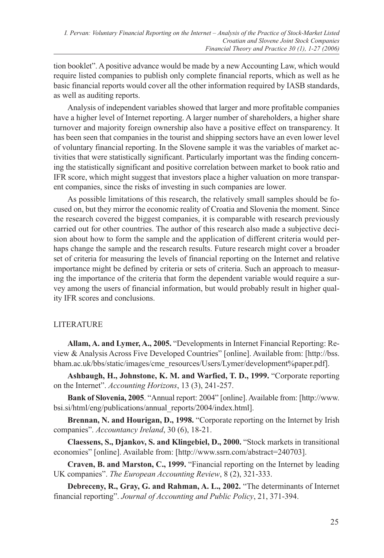tion booklet". A positive advance would be made by a new Accounting Law, which would require listed companies to publish only complete financial reports, which as well as he basic financial reports would cover all the other information required by IASB standards, as well as auditing reports.

Analysis of independent variables showed that larger and more profitable companies have a higher level of Internet reporting. A larger number of shareholders, a higher share turnover and majority foreign ownership also have a positive effect on transparency. It has been seen that companies in the tourist and shipping sectors have an even lower level of voluntary financial reporting. In the Slovene sample it was the variables of market activities that were statistically significant. Particularly important was the finding concerning the statistically significant and positive correlation between market to book ratio and IFR score, which might suggest that investors place a higher valuation on more transparent companies, since the risks of investing in such companies are lower.

As possible limitations of this research, the relatively small samples should be focused on, but they mirror the economic reality of Croatia and Slovenia the moment. Since the research covered the biggest companies, it is comparable with research previously carried out for other countries. The author of this research also made a subjective decision about how to form the sample and the application of different criteria would perhaps change the sample and the research results. Future research might cover a broader set of criteria for measuring the levels of financial reporting on the Internet and relative importance might be defined by criteria or sets of criteria. Such an approach to measuring the importance of the criteria that form the dependent variable would require a survey among the users of financial information, but would probably result in higher quality IFR scores and conclusions.

# **LITERATURE**

**Allam, A. and Lymer, A., 2005.** "Developments in Internet Financial Reporting: Review & Analysis Across Five Developed Countries" [online]. Available from: [http://bss. bham.ac.uk/bbs/static/images/cme\_resources/Users/Lymer/development%paper.pdf].

**Ashbaugh, H., Johnstone, K. M. and Warfied, T. D., 1999.** "Corporate reporting on the Internet". *Accounting Horizons*, 13 (3), 241-257.

**Bank of Slovenia, 2005**. "Annual report: 2004" [online]. Available from: [http://www. bsi.si/html/eng/publications/annual\_reports/2004/index.html].

**Brennan, N. and Hourigan, D., 1998.** "Corporate reporting on the Internet by Irish companies". *Accountancy Ireland*, 30 (6), 18-21.

**Claessens, S., Djankov, S. and Klingebiel, D., 2000.** "Stock markets in transitional economies" [online]. Available from: [http://www.ssrn.com/abstract=240703].

**Craven, B. and Marston, C., 1999.** "Financial reporting on the Internet by leading UK companies". *The European Accounting Review*, 8 (2), 321-333.

**Debreceny, R., Gray, G. and Rahman, A. L., 2002.** "The determinants of Internet financial reporting". *Journal of Accounting and Public Policy*, 21, 371-394.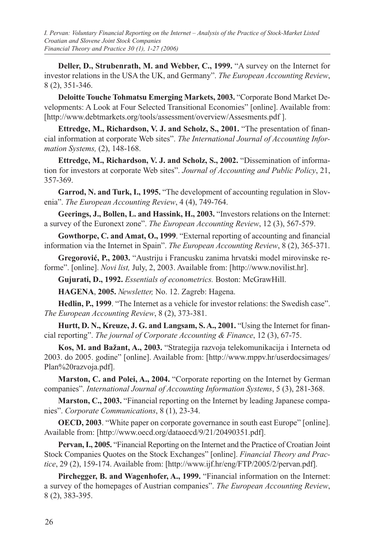**Deller, D., Strubenrath, M. and Webber, C., 1999.** "A survey on the Internet for investor relations in the USA the UK, and Germany". *The European Accounting Review*, 8 (2), 351-346.

**Deloitte Touche Tohmatsu Emerging Markets, 2003.** "Corporate Bond Market Developments: A Look at Four Selected Transitional Economies" [online]. Available from: [http://www.debtmarkets.org/tools/assessment/overview/Assesments.pdf ].

**Ettredge, M., Richardson, V. J. and Scholz, S., 2001.** "The presentation of financial information at corporate Web sites". *The International Journal of Accounting Information Systems,* (2), 148-168.

**Ettredge, M., Richardson, V. J. and Scholz, S., 2002.** "Dissemination of information for investors at corporate Web sites". *Journal of Accounting and Public Policy*, 21, 357-369.

**Garrod, N. and Turk, I., 1995.** "The development of accounting regulation in Slovenia". *The European Accounting Review*, 4 (4), 749-764.

**Geerings, J., Bollen, L. and Hassink, H., 2003.** "Investors relations on the Internet: a survey of the Euronext zone". *The European Accounting Review*, 12 (3), 567-579.

**Gowthorpe, C. and Amat, O., 1999**. "External reporting of accounting and financial information via the Internet in Spain". *The European Accounting Review*, 8 (2), 365-371.

**Gregorović, P., 2003.** "Austriju i Francusku zanima hrvatski model mirovinske reforme". [online]. *Novi list,* July, 2, 2003. Available from: [http://www.novilist.hr].

**Gujurati, D., 1992.** *Essentials of econometrics.* Boston: McGrawHill.

**HAGENA**, **2005.** *Newsletter,* No. 12. Zagreb: Hagena.

**Hedlin, P., 1999**. "The Internet as a vehicle for investor relations: the Swedish case". *The European Accounting Review*, 8 (2), 373-381.

**Hurtt, D. N., Kreuze, J. G. and Langsam, S. A., 2001.** "Using the Internet for financial reporting". *The journal of Corporate Accounting & Finance*, 12 (3), 67-75.

**Kos, M. and Bažant, A., 2003.** "Strategija razvoja telekomunikacija i Interneta od 2003. do 2005. godine" [online]. Available from: [http://www.mppv.hr/userdocsimages/ Plan%20razvoja.pdf].

**Marston, C. and Polei, A., 2004.** "Corporate reporting on the Internet by German companies". *International Journal of Accounting Information Systems*, 5 (3), 281-368.

**Marston, C., 2003.** "Financial reporting on the Internet by leading Japanese companies". *Corporate Communications*, 8 (1), 23-34.

**OECD, 2003**. "White paper on corporate governance in south east Europe" [online]. Available from: [http://www.oecd.org/dataoecd/9/21/20490351.pdf].

**Pervan, I., 2005.** "Financial Reporting on the Internet and the Practice of Croatian Joint Stock Companies Quotes on the Stock Exchanges" [online]. *Financial Theory and Practice*, 29 (2), 159-174. Available from: [http://www.ijf.hr/eng/FTP/2005/2/pervan.pdf].

**Pirchegger, B. and Wagenhofer, A., 1999.** "Financial information on the Internet: a survey of the homepages of Austrian companies". *The European Accounting Review*, 8 (2), 383-395.